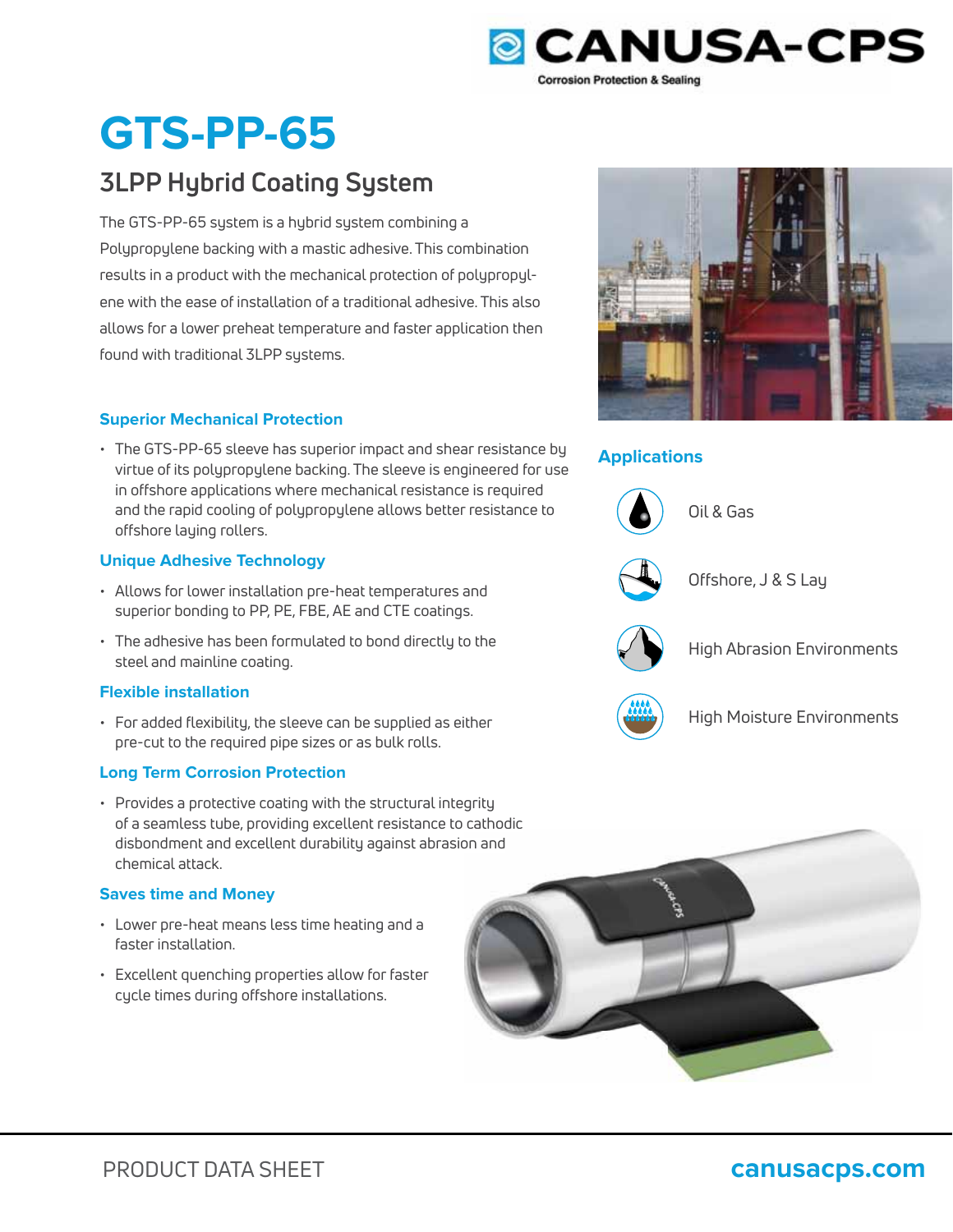

# **GTS-PP-65**

# **3LPP Hybrid Coating System**

The GTS-PP-65 system is a hybrid system combining a Polypropylene backing with a mastic adhesive. This combination results in a product with the mechanical protection of polypropylene with the ease of installation of a traditional adhesive. This also allows for a lower preheat temperature and faster application then found with traditional 3LPP systems.

# **Superior Mechanical Protection**

• The GTS-PP-65 sleeve has superior impact and shear resistance by virtue of its polypropylene backing. The sleeve is engineered for use in offshore applications where mechanical resistance is required and the rapid cooling of polypropylene allows better resistance to offshore laying rollers.

# **Unique Adhesive Technology**

- Allows for lower installation pre-heat temperatures and superior bonding to PP, PE, FBE, AE and CTE coatings.
- The adhesive has been formulated to bond directly to the steel and mainline coating.

# **Flexible installation**

• For added flexibility, the sleeve can be supplied as either pre-cut to the required pipe sizes or as bulk rolls.

# **Long Term Corrosion Protection**

• Provides a protective coating with the structural integrity of a seamless tube, providing excellent resistance to cathodic disbondment and excellent durability against abrasion and chemical attack.

# **Saves time and Money**

- Lower pre-heat means less time heating and a faster installation.
- Excellent quenching properties allow for faster cycle times during offshore installations.



# **Applications**



Oil & Gas



Offshore, J & S Lay



High Abrasion Environments



High Moisture Environments